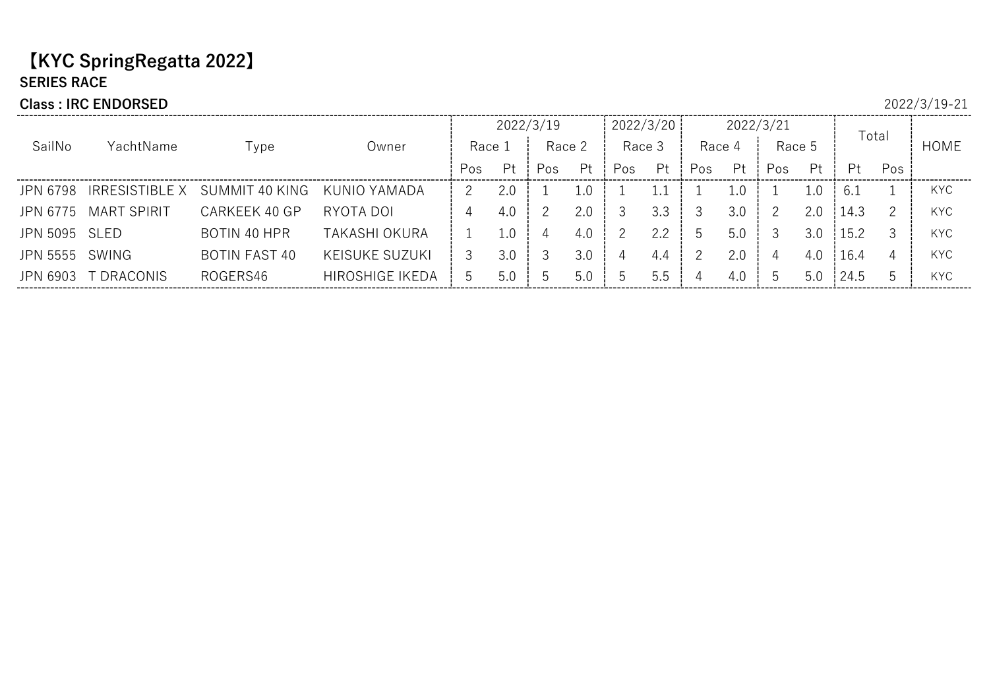## 【KYC SpringRegatta 2022】 SERIES RACE

#### Class : IRC ENDORSED 2022/3/19-21

#### 2022/3/19 2022/3/20 2022/3/21 Total Race 4SailNo YachtName Type Owner | Race 1 | Race 2 | Race 3 Race 2 | Race 3 | Race 4 | Race 5 |  $\overline{C}$  | HOME Pos Pt Pos Pt Pos Pt Pos Pt Pos Pt Pt Pos JPN 6798 IRRESISTIBLE X SUMMIT 40 KING KUNIO YAMADA 2 2.0 1 1.0 1 1.1 1 1.0 1 1.0 6.1 1 KYC JPN 6775 MART SPIRIT CARKEEK 40 GP RYOTA DOI 4 4.0 2 2.0 3 3.3 3 3.0 2 2.0 14.3 2 KYC JPN 5095 SLED BOTIN 40 HPR TAKASHI OKURA | 1 1.0 | 4 4.0 | 2 2.2 | 5 5.0 | 3 3.0 |15.2 3 | KYC JPN 5555 SWING BOTIN FAST 40 KEISUKE SUZUKI 3 3.0 3 3.0 4 4.4 2 2.0 4 4.0 16.4 4 KYC JPN 6903 TDRACONIS ROGERS46 HIROSHIGE IKEDA 5 5.0 5.0 5 5.0 5 5.5 5 4 4.0 5 5.0 24.5 5 KYC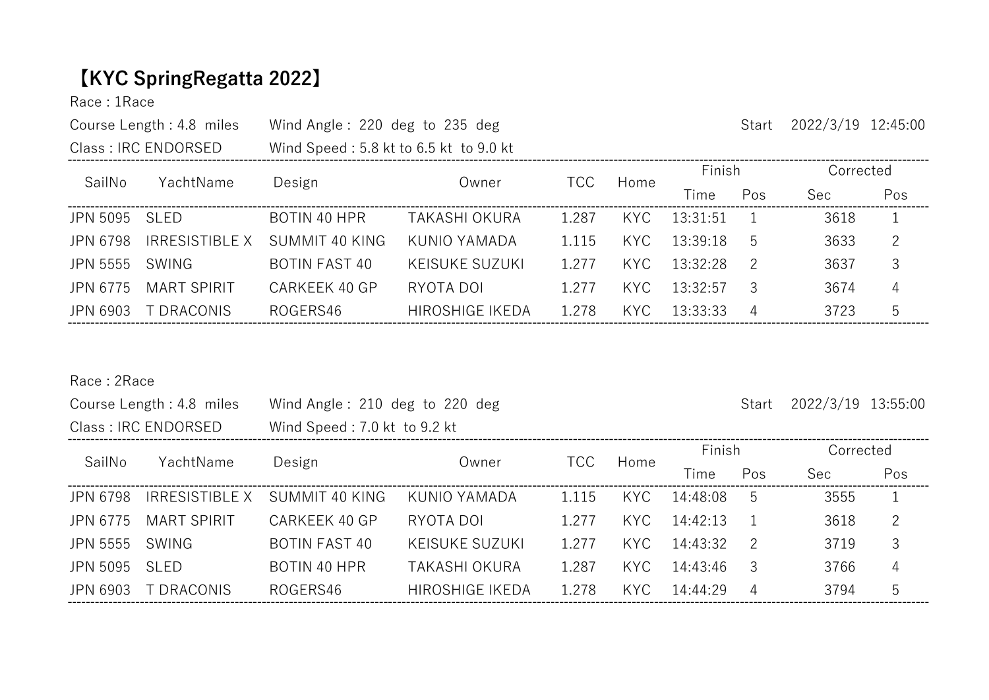# 【KYC SpringRegatta 2022】

Race : 1Race

| Course Length : 4.8 miles                           | Wind Angle: 220 deg to 235 deg         |             |             |   | Start  | $2022/3/19$ 12:45:00 |  |
|-----------------------------------------------------|----------------------------------------|-------------|-------------|---|--------|----------------------|--|
| Class : IRC ENDORSED                                | Wind Speed: 5.8 kt to 6.5 kt to 9.0 kt |             |             |   |        |                      |  |
| $O$ $\sim$ $\sim$ $\sim$ $\sim$<br>$V = -1.1$ N $-$ | n - - Les                              | 1. <b>.</b> | $T\cap\cap$ | . | Finish | Corrected            |  |

| SailNo        | YachtName             |                |                        | TCC     |      |            |     | -------- |     |  |
|---------------|-----------------------|----------------|------------------------|---------|------|------------|-----|----------|-----|--|
|               |                       | Design         | Owner                  |         | Home | Time       | Pos | Sec:     | Pos |  |
| JPN 5095 SLED |                       | BOTIN 40 HPR   | TAKASHI OKURA          | 1.287   | KYC. | 13:31:51   |     | 3618     |     |  |
| JPN 6798      | <b>IRRESISTIBLE X</b> | SUMMIT 40 KING | KUNIO YAMADA           | 1 1 1 5 | KYC. | 13:39:18   | h   | 3633     | -2  |  |
| JPN 5555      | SWING                 | BOTIN FAST 40  | KEISUKE SUZUKI         | 1.277   | KYC. | 13:32:28   |     | 3637     | 3   |  |
| JPN 6775      | MART SPIRIT           | CARKEEK 40 GP  | RYOTA DOI              | 1.277   | KYC. | 13:32:57   |     | 3674     | 4   |  |
| JPN 6903      | T DRACONIS            | ROGERS46       | <b>HIROSHIGE IKEDA</b> | 1.278   | KYC. | - 13:33:33 |     | 3723     | 5   |  |

Race : 2Race

|                     | Course Length: 4.8 miles | Wind Angle: 210 deg to 220 deg |                        |            |      | Start    | 2022/3/19 13:55:00 |           |     |
|---------------------|--------------------------|--------------------------------|------------------------|------------|------|----------|--------------------|-----------|-----|
|                     | Class: IRC ENDORSED      | Wind Speed: 7.0 kt to 9.2 kt   |                        |            |      |          |                    |           |     |
| SailNo<br>YachtName |                          |                                | Owner                  | <b>TCC</b> | Home | Finish   |                    | Corrected |     |
|                     |                          | Design                         |                        |            |      | Time     | Pos                | Sec       | Pos |
| JPN 6798            | <b>IRRESISTIBLE X</b>    | SUMMIT 40 KING                 | KUNIO YAMADA           | 1.115      | KYC. | 14:48:08 | 5                  | 3555      |     |
| JPN 6775            | <b>MART SPIRIT</b>       | CARKEEK 40 GP                  | RYOTA DOI              | 1.277      | KYC. | 14:42:13 |                    | 3618      | 2   |
| JPN 5555            | SWING                    | <b>BOTIN FAST 40</b>           | <b>KEISUKE SUZUKI</b>  | 1.277      | KYC. | 14:43:32 | $\overline{2}$     | 3719      | 3   |
| JPN 5095            | <b>SLED</b>              | <b>BOTIN 40 HPR</b>            | TAKASHI OKURA          | 1.287      | KYC  | 14:43:46 | 3                  | 3766      | 4   |
| JPN 6903            | T DRACONIS               | ROGERS46                       | <b>HIROSHIGE IKEDA</b> | 1.278      | KYC  | 14:44:29 | $\overline{4}$     | 3794      | 5   |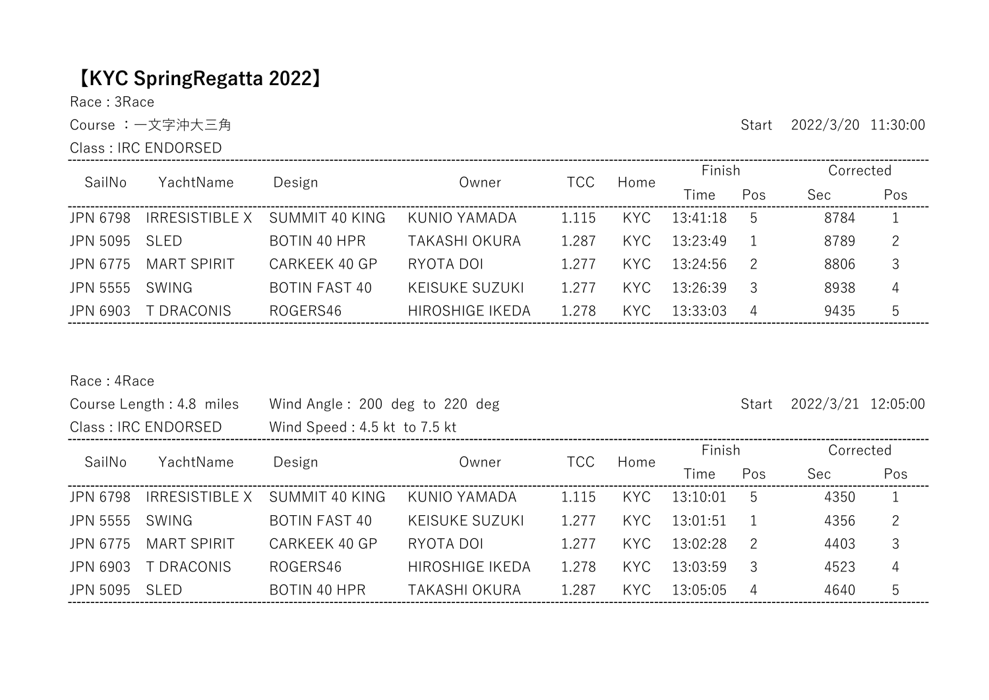# 【KYC SpringRegatta 2022】

----------------------------------

Race : 3Race

Class : IRC ENDORSED

Course : 一文字沖大三角 Start 2022/3/20 11:30:00

| SailNo   | YachtName             | Design               | Owner                  | <b>TCC</b> | Home | Finish   |     | Corrected |     |
|----------|-----------------------|----------------------|------------------------|------------|------|----------|-----|-----------|-----|
|          |                       |                      |                        |            |      | Time     | Pos | Sec       | Pos |
| JPN 6798 | <b>IRRESISTIBLE X</b> | SUMMIT 40 KING       | KUNIO YAMADA           | 1 1 1 5    | KYC. | 13:41:18 | .5  | 8784      |     |
| JPN 5095 | <b>SLED</b>           | BOTIN 40 HPR         | <b>TAKASHI OKURA</b>   | 1.287      | KYC. | 13:23:49 |     | 8789      |     |
| JPN 6775 | MART SPIRIT           | CARKEEK 40 GP        | RYOTA DOI              | 1.277      | KYC. | 13:24:56 |     | 8806      |     |
| JPN 5555 | SWING                 | <b>BOTIN FAST 40</b> | <b>KEISUKE SUZUKI</b>  | 1.277      | KYC. | 13:26:39 |     | 8938      | 4   |
| JPN 6903 | T DRACONIS.           | ROGERS46             | <b>HIROSHIGE IKEDA</b> | 1.278      | KYC. | 13:33:03 | 4   | 9435      | 5   |

### Race : 4Race

|                 | Course Length: 4.8 miles | Wind Angle: 200 deg to 220 deg |                        |            |      | Start    | 2022/3/21 12:05:00 |            |              |
|-----------------|--------------------------|--------------------------------|------------------------|------------|------|----------|--------------------|------------|--------------|
|                 | Class: IRC ENDORSED      | Wind Speed: 4.5 kt to 7.5 kt   |                        |            |      |          |                    |            |              |
| SailNo          | YachtName                |                                | Owner                  | <b>TCC</b> | Home | Finish   |                    | Corrected  |              |
|                 |                          | Design                         |                        |            |      | Time     | Pos                | <b>Sec</b> | Pos          |
| <b>JPN 6798</b> | IRRESISTIBLE X           | SUMMIT 40 KING                 | KUNIO YAMADA           | 1.115      | KYC. | 13:10:01 | 5                  | 4350       | $\mathbf{1}$ |
| <b>JPN 5555</b> | SWING                    | <b>BOTIN FAST 40</b>           | <b>KEISUKE SUZUKI</b>  | 1.277      | KYC. | 13:01:51 |                    | 4356       | 2            |
| JPN 6775        | <b>MART SPIRIT</b>       | CARKEEK 40 GP                  | RYOTA DOI              | 1.277      | KYC. | 13:02:28 | 2                  | 4403       | 3            |
| JPN 6903        | T DRACONIS               | ROGERS46                       | <b>HIROSHIGE IKEDA</b> | 1.278      | KYC  | 13:03:59 | 3                  | 4523       | 4            |
| JPN 5095        | SLED                     | BOTIN 40 HPR                   | TAKASHI OKURA          | 1.287      | KYC. | 13:05:05 | $\overline{4}$     | 4640       | 5            |